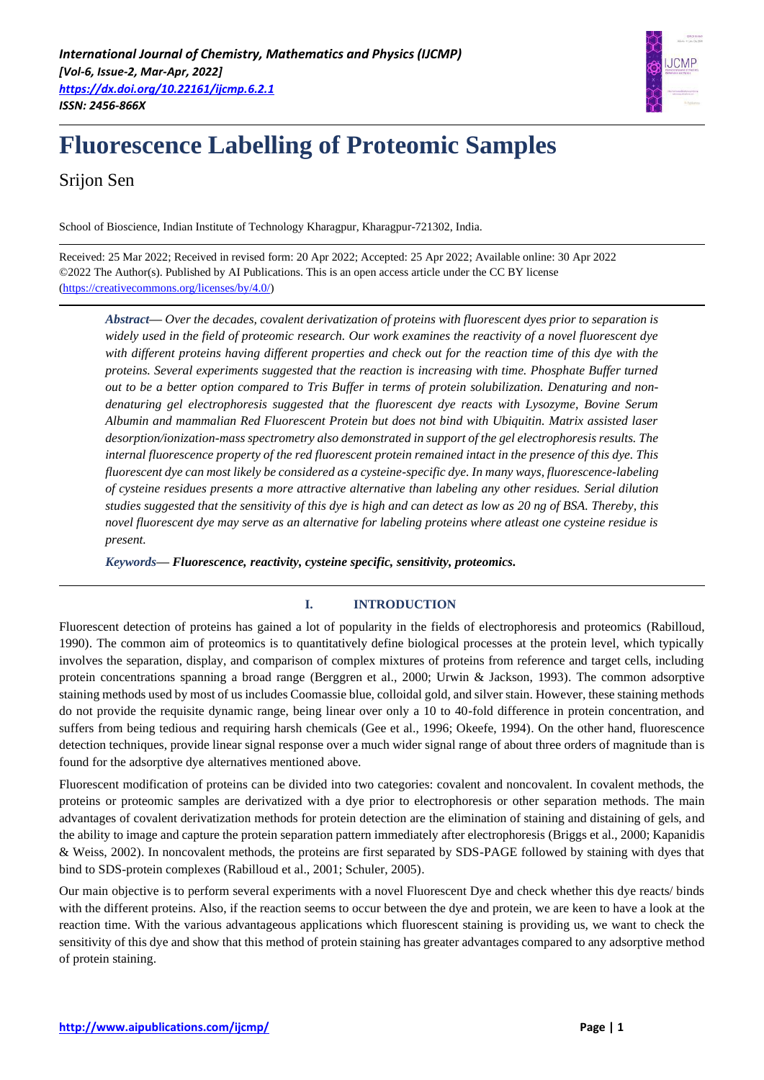

# **Fluorescence Labelling of Proteomic Samples**

# Srijon Sen

School of Bioscience, Indian Institute of Technology Kharagpur, Kharagpur-721302, India.

Received: 25 Mar 2022; Received in revised form: 20 Apr 2022; Accepted: 25 Apr 2022; Available online: 30 Apr 2022 ©2022 The Author(s). Published by AI Publications. This is an open access article under the CC BY license [\(https://creativecommons.org/licenses/by/4.0/\)](https://creativecommons.org/licenses/by/4.0/)

*Abstract— Over the decades, covalent derivatization of proteins with fluorescent dyes prior to separation is widely used in the field of proteomic research. Our work examines the reactivity of a novel fluorescent dye with different proteins having different properties and check out for the reaction time of this dye with the proteins. Several experiments suggested that the reaction is increasing with time. Phosphate Buffer turned out to be a better option compared to Tris Buffer in terms of protein solubilization. Denaturing and nondenaturing gel electrophoresis suggested that the fluorescent dye reacts with Lysozyme, Bovine Serum Albumin and mammalian Red Fluorescent Protein but does not bind with Ubiquitin. Matrix assisted laser desorption/ionization-mass spectrometry also demonstrated in support of the gel electrophoresis results. The internal fluorescence property of the red fluorescent protein remained intact in the presence of this dye. This fluorescent dye can most likely be considered as a cysteine-specific dye. In many ways, fluorescence-labeling of cysteine residues presents a more attractive alternative than labeling any other residues. Serial dilution studies suggested that the sensitivity of this dye is high and can detect as low as 20 ng of BSA. Thereby, this novel fluorescent dye may serve as an alternative for labeling proteins where atleast one cysteine residue is present.* 

*Keywords— Fluorescence, reactivity, cysteine specific, sensitivity, proteomics.*

# **I. INTRODUCTION**

Fluorescent detection of proteins has gained a lot of popularity in the fields of electrophoresis and proteomics (Rabilloud, 1990). The common aim of proteomics is to quantitatively define biological processes at the protein level, which typically involves the separation, display, and comparison of complex mixtures of proteins from reference and target cells, including protein concentrations spanning a broad range (Berggren et al., 2000; Urwin & Jackson, 1993). The common adsorptive staining methods used by most of us includes Coomassie blue, colloidal gold, and silver stain. However, these staining methods do not provide the requisite dynamic range, being linear over only a 10 to 40-fold difference in protein concentration, and suffers from being tedious and requiring harsh chemicals (Gee et al., 1996; Okeefe, 1994). On the other hand, fluorescence detection techniques, provide linear signal response over a much wider signal range of about three orders of magnitude than is found for the adsorptive dye alternatives mentioned above.

Fluorescent modification of proteins can be divided into two categories: covalent and noncovalent. In covalent methods, the proteins or proteomic samples are derivatized with a dye prior to electrophoresis or other separation methods. The main advantages of covalent derivatization methods for protein detection are the elimination of staining and distaining of gels, and the ability to image and capture the protein separation pattern immediately after electrophoresis (Briggs et al., 2000; Kapanidis & Weiss, 2002). In noncovalent methods, the proteins are first separated by SDS-PAGE followed by staining with dyes that bind to SDS-protein complexes (Rabilloud et al., 2001; Schuler, 2005).

Our main objective is to perform several experiments with a novel Fluorescent Dye and check whether this dye reacts/ binds with the different proteins. Also, if the reaction seems to occur between the dye and protein, we are keen to have a look at the reaction time. With the various advantageous applications which fluorescent staining is providing us, we want to check the sensitivity of this dye and show that this method of protein staining has greater advantages compared to any adsorptive method of protein staining.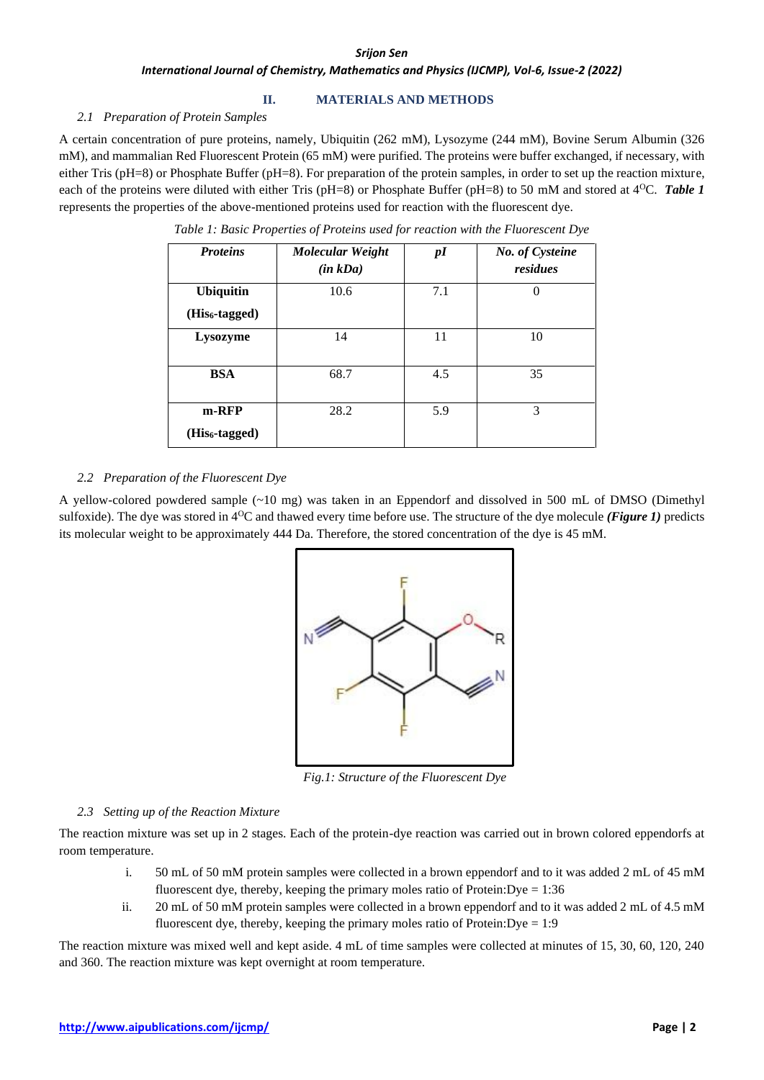#### *Srijon Sen*

#### *International Journal of Chemistry, Mathematics and Physics (IJCMP), Vol-6, Issue-2 (2022)*

#### **II. MATERIALS AND METHODS**

#### *2.1 Preparation of Protein Samples*

A certain concentration of pure proteins, namely, Ubiquitin (262 mM), Lysozyme (244 mM), Bovine Serum Albumin (326 mM), and mammalian Red Fluorescent Protein (65 mM) were purified. The proteins were buffer exchanged, if necessary, with either Tris ( $pH=8$ ) or Phosphate Buffer ( $pH=8$ ). For preparation of the protein samples, in order to set up the reaction mixture, each of the proteins were diluted with either Tris (pH=8) or Phosphate Buffer (pH=8) to 50 mM and stored at 4<sup>O</sup>C. **Table 1** represents the properties of the above-mentioned proteins used for reaction with the fluorescent dye.

| <b>Proteins</b>                     | <b>Molecular Weight</b><br>(in kDa) | pI  | No. of Cysteine<br>residues |
|-------------------------------------|-------------------------------------|-----|-----------------------------|
| <b>Ubiquitin</b>                    | 10.6                                | 7.1 |                             |
| (His <sub>6</sub> -tagged)          |                                     |     |                             |
| Lysozyme                            | 14                                  | 11  | 10                          |
| <b>BSA</b>                          | 68.7                                | 4.5 | 35                          |
| m-RFP<br>(His <sub>6</sub> -tagged) | 28.2                                | 5.9 | 3                           |

*Table 1: Basic Properties of Proteins used for reaction with the Fluorescent Dye*

#### *2.2 Preparation of the Fluorescent Dye*

A yellow-colored powdered sample (~10 mg) was taken in an Eppendorf and dissolved in 500 mL of DMSO (Dimethyl sulfoxide). The dye was stored in  $4^{\circ}$ C and thawed every time before use. The structure of the dye molecule *(Figure 1)* predicts its molecular weight to be approximately 444 Da. Therefore, the stored concentration of the dye is 45 mM.



*Fig.1: Structure of the Fluorescent Dye*

#### *2.3 Setting up of the Reaction Mixture*

The reaction mixture was set up in 2 stages. Each of the protein-dye reaction was carried out in brown colored eppendorfs at room temperature.

- i. 50 mL of 50 mM protein samples were collected in a brown eppendorf and to it was added 2 mL of 45 mM fluorescent dye, thereby, keeping the primary moles ratio of Protein:  $Dye = 1:36$
- ii. 20 mL of 50 mM protein samples were collected in a brown eppendorf and to it was added 2 mL of 4.5 mM fluorescent dye, thereby, keeping the primary moles ratio of Protein:Dye = 1:9

The reaction mixture was mixed well and kept aside. 4 mL of time samples were collected at minutes of 15, 30, 60, 120, 240 and 360. The reaction mixture was kept overnight at room temperature.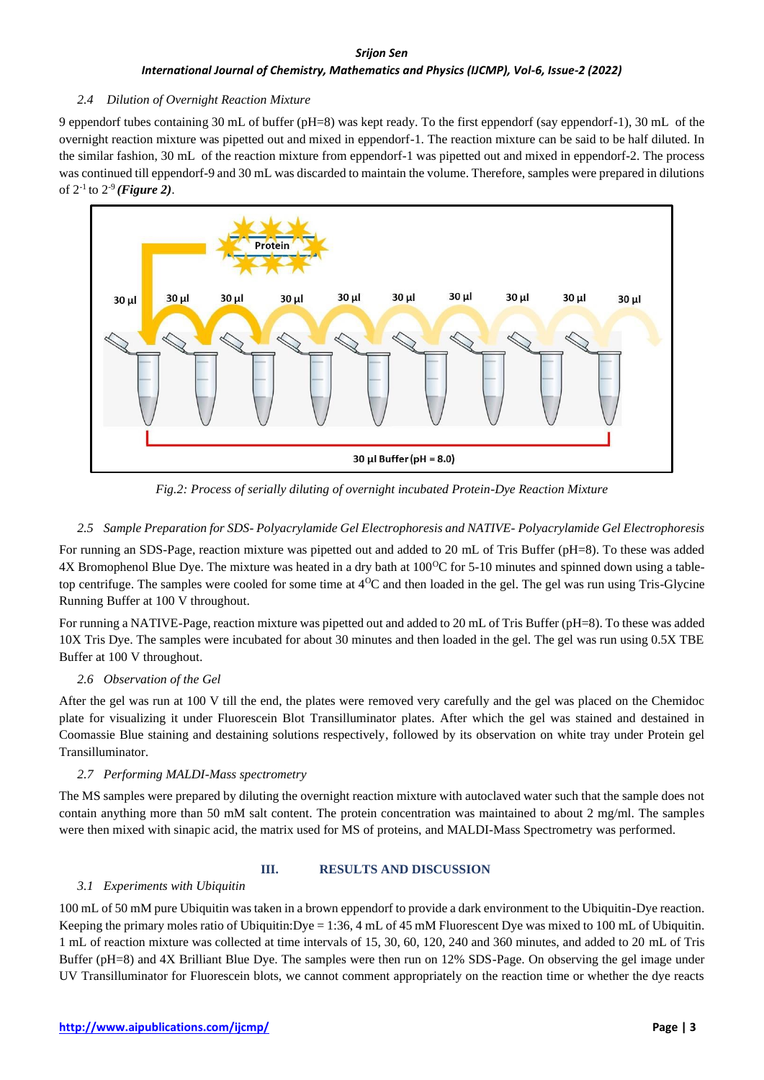# *2.4 Dilution of Overnight Reaction Mixture*

9 eppendorf tubes containing 30 mL of buffer (pH=8) was kept ready. To the first eppendorf (say eppendorf-1), 30 mL of the overnight reaction mixture was pipetted out and mixed in eppendorf-1. The reaction mixture can be said to be half diluted. In the similar fashion, 30 mL of the reaction mixture from eppendorf-1 was pipetted out and mixed in eppendorf-2. The process was continued till eppendorf-9 and 30 mL was discarded to maintain the volume. Therefore, samples were prepared in dilutions of 2-1 to 2-9 *(Figure 2)*.



*Fig.2: Process of serially diluting of overnight incubated Protein-Dye Reaction Mixture*

## *2.5 Sample Preparation for SDS- Polyacrylamide Gel Electrophoresis and NATIVE- Polyacrylamide Gel Electrophoresis*

For running an SDS-Page, reaction mixture was pipetted out and added to 20 mL of Tris Buffer (pH=8). To these was added  $4X$  Bromophenol Blue Dye. The mixture was heated in a dry bath at  $100^{\circ}$ C for 5-10 minutes and spinned down using a tabletop centrifuge. The samples were cooled for some time at  $4^{\circ}C$  and then loaded in the gel. The gel was run using Tris-Glycine Running Buffer at 100 V throughout.

For running a NATIVE-Page, reaction mixture was pipetted out and added to 20 mL of Tris Buffer (pH=8). To these was added 10X Tris Dye. The samples were incubated for about 30 minutes and then loaded in the gel. The gel was run using 0.5X TBE Buffer at 100 V throughout.

# *2.6 Observation of the Gel*

After the gel was run at 100 V till the end, the plates were removed very carefully and the gel was placed on the Chemidoc plate for visualizing it under Fluorescein Blot Transilluminator plates. After which the gel was stained and destained in Coomassie Blue staining and destaining solutions respectively, followed by its observation on white tray under Protein gel Transilluminator.

# *2.7 Performing MALDI-Mass spectrometry*

The MS samples were prepared by diluting the overnight reaction mixture with autoclaved water such that the sample does not contain anything more than 50 mM salt content. The protein concentration was maintained to about 2 mg/ml. The samples were then mixed with sinapic acid, the matrix used for MS of proteins, and MALDI-Mass Spectrometry was performed.

#### **III. RESULTS AND DISCUSSION**

#### *3.1 Experiments with Ubiquitin*

100 mL of 50 mM pure Ubiquitin was taken in a brown eppendorf to provide a dark environment to the Ubiquitin-Dye reaction. Keeping the primary moles ratio of Ubiquitin:Dye = 1:36, 4 mL of 45 mM Fluorescent Dye was mixed to 100 mL of Ubiquitin. 1 mL of reaction mixture was collected at time intervals of 15, 30, 60, 120, 240 and 360 minutes, and added to 20 mL of Tris Buffer (pH=8) and 4X Brilliant Blue Dye. The samples were then run on 12% SDS-Page. On observing the gel image under UV Transilluminator for Fluorescein blots, we cannot comment appropriately on the reaction time or whether the dye reacts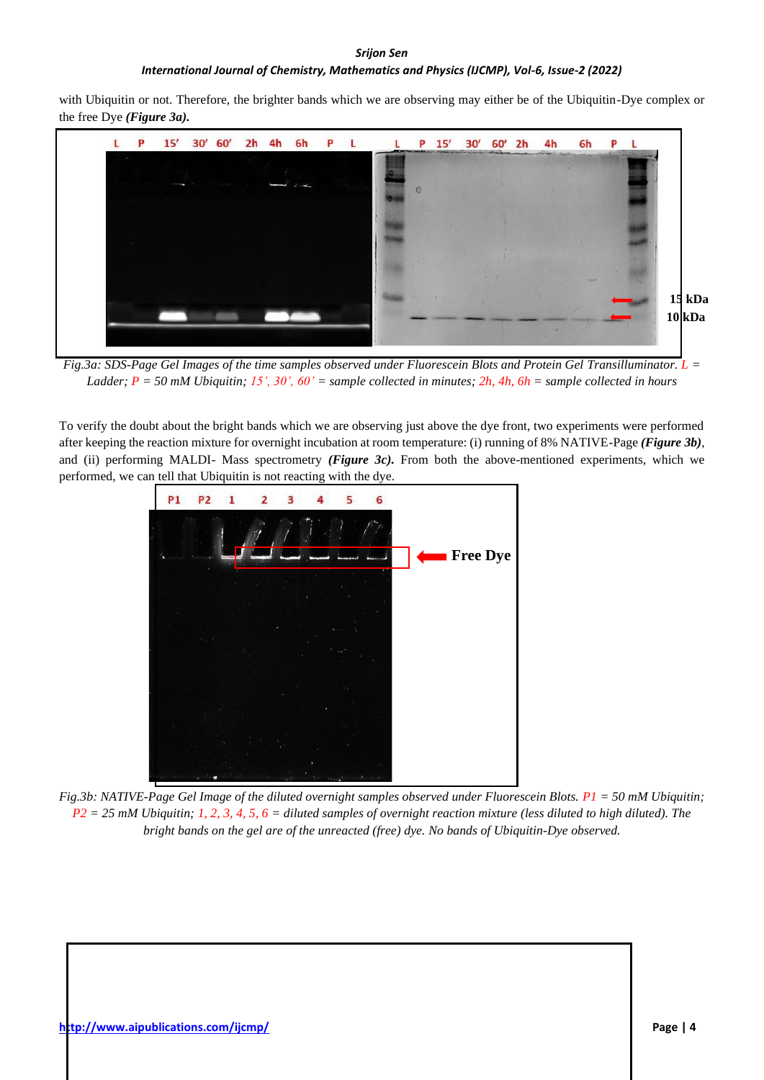with Ubiquitin or not. Therefore, the brighter bands which we are observing may either be of the Ubiquitin-Dye complex or the free Dye *(Figure 3a).*



*Fig.3a: SDS-Page Gel Images of the time samples observed under Fluorescein Blots and Protein Gel Transilluminator. L = Ladder; P = 50 mM Ubiquitin; 15', 30', 60' = sample collected in minutes; 2h, 4h, 6h = sample collected in hours*

To verify the doubt about the bright bands which we are observing just above the dye front, two experiments were performed after keeping the reaction mixture for overnight incubation at room temperature: (i) running of 8% NATIVE-Page *(Figure 3b)*, and (ii) performing MALDI- Mass spectrometry *(Figure 3c).* From both the above-mentioned experiments, which we performed, we can tell that Ubiquitin is not reacting with the dye.



*Fig.3b: NATIVE-Page Gel Image of the diluted overnight samples observed under Fluorescein Blots. P1 = 50 mM Ubiquitin; P2 = 25 mM Ubiquitin; 1, 2, 3, 4, 5, 6 = diluted samples of overnight reaction mixture (less diluted to high diluted). The bright bands on the gel are of the unreacted (free) dye. No bands of Ubiquitin-Dye observed.*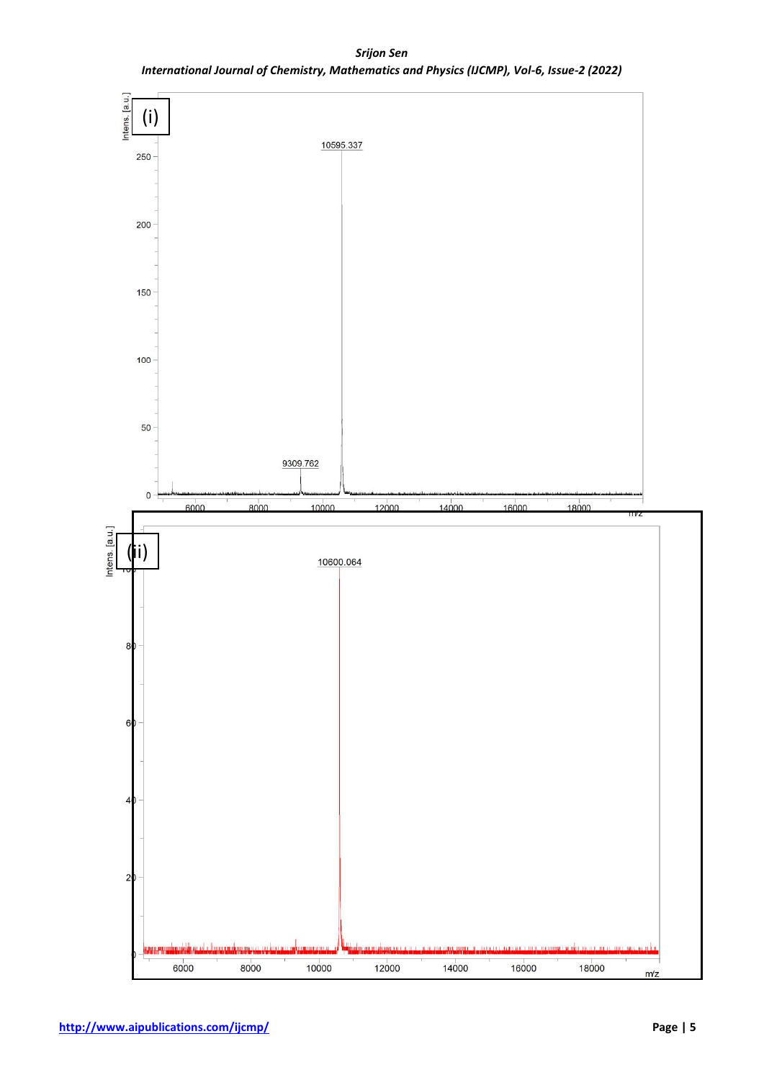*Srijon Sen International Journal of Chemistry, Mathematics and Physics (IJCMP), Vol-6, Issue-2 (2022)*

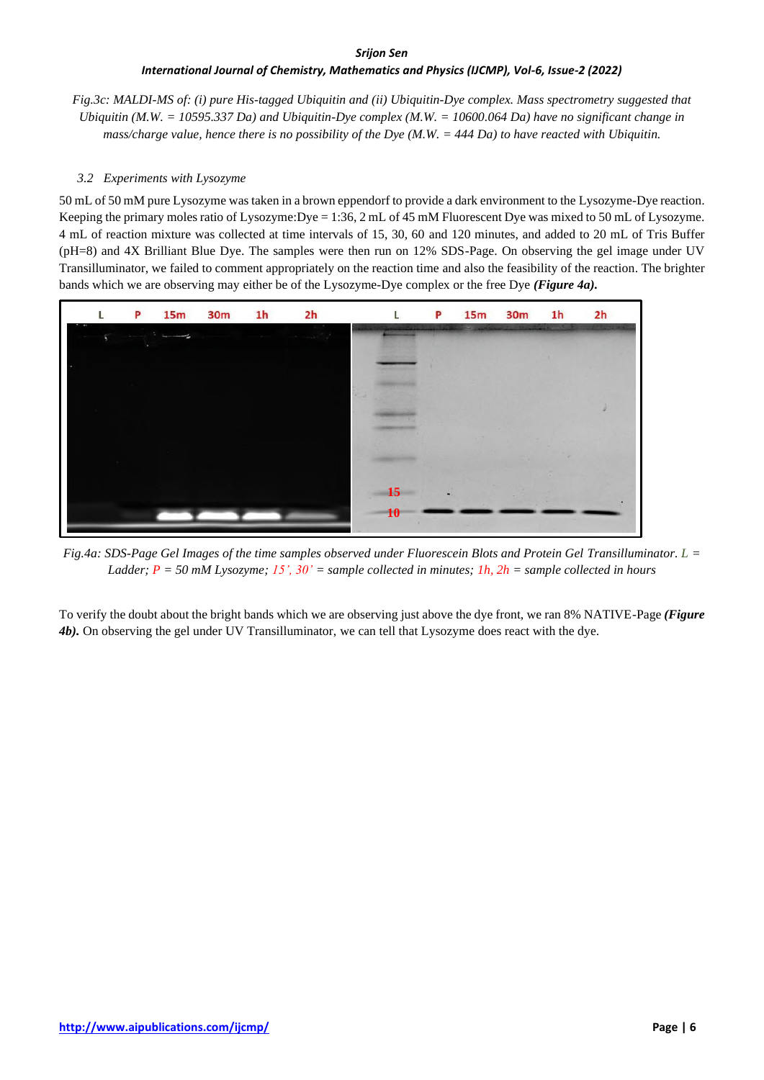*Fig.3c: MALDI-MS of: (i) pure His-tagged Ubiquitin and (ii) Ubiquitin-Dye complex. Mass spectrometry suggested that Ubiquitin (M.W. = 10595.337 Da) and Ubiquitin-Dye complex (M.W. = 10600.064 Da) have no significant change in mass/charge value, hence there is no possibility of the Dye (M.W. = 444 Da) to have reacted with Ubiquitin.*

# *3.2 Experiments with Lysozyme*

50 mL of 50 mM pure Lysozyme was taken in a brown eppendorf to provide a dark environment to the Lysozyme-Dye reaction. Keeping the primary moles ratio of Lysozyme:Dye = 1:36, 2 mL of 45 mM Fluorescent Dye was mixed to 50 mL of Lysozyme. 4 mL of reaction mixture was collected at time intervals of 15, 30, 60 and 120 minutes, and added to 20 mL of Tris Buffer (pH=8) and 4X Brilliant Blue Dye. The samples were then run on 12% SDS-Page. On observing the gel image under UV Transilluminator, we failed to comment appropriately on the reaction time and also the feasibility of the reaction. The brighter bands which we are observing may either be of the Lysozyme-Dye complex or the free Dye *(Figure 4a).*



*Fig.4a: SDS-Page Gel Images of the time samples observed under Fluorescein Blots and Protein Gel Transilluminator. L = Ladder; P = 50 mM Lysozyme; 15', 30' = sample collected in minutes; 1h, 2h = sample collected in hours*

To verify the doubt about the bright bands which we are observing just above the dye front, we ran 8% NATIVE-Page *(Figure 4b).* On observing the gel under UV Transilluminator, we can tell that Lysozyme does react with the dye.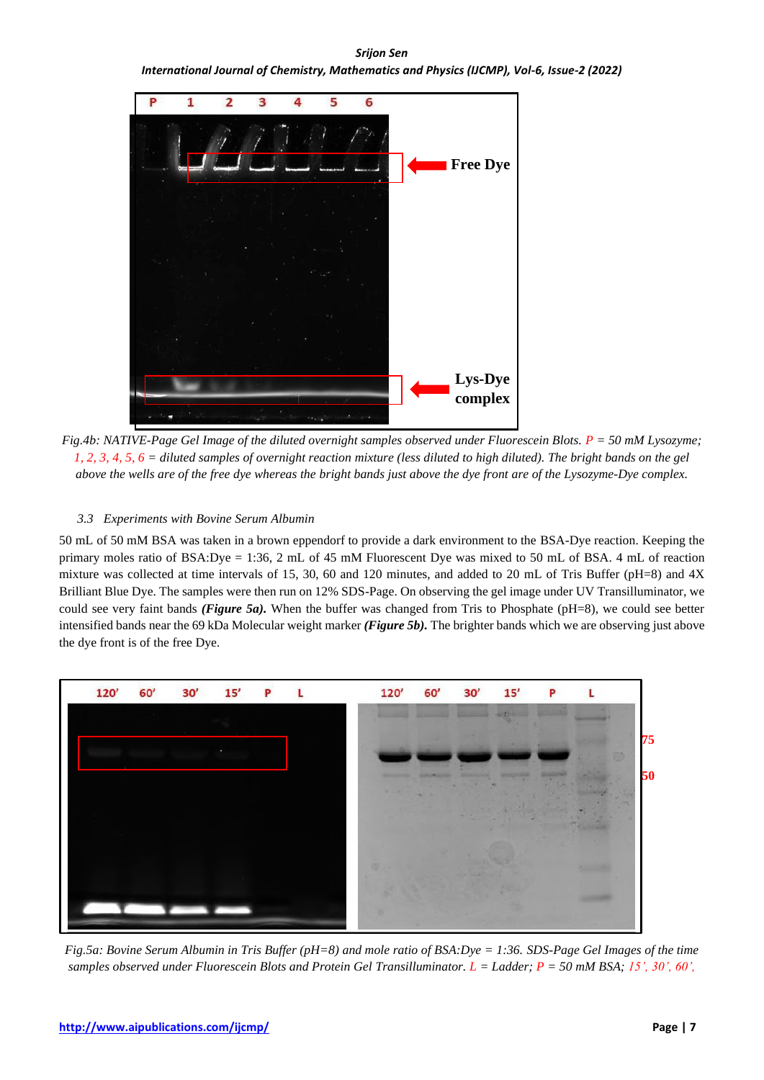*Srijon Sen International Journal of Chemistry, Mathematics and Physics (IJCMP), Vol-6, Issue-2 (2022)*



*Fig.4b: NATIVE-Page Gel Image of the diluted overnight samples observed under Fluorescein Blots. P = 50 mM Lysozyme; 1, 2, 3, 4, 5, 6 = diluted samples of overnight reaction mixture (less diluted to high diluted). The bright bands on the gel above the wells are of the free dye whereas the bright bands just above the dye front are of the Lysozyme-Dye complex.*

# *3.3 Experiments with Bovine Serum Albumin*

50 mL of 50 mM BSA was taken in a brown eppendorf to provide a dark environment to the BSA-Dye reaction. Keeping the primary moles ratio of BSA:Dye = 1:36, 2 mL of 45 mM Fluorescent Dye was mixed to 50 mL of BSA. 4 mL of reaction mixture was collected at time intervals of 15, 30, 60 and 120 minutes, and added to 20 mL of Tris Buffer (pH=8) and 4X Brilliant Blue Dye. The samples were then run on 12% SDS-Page. On observing the gel image under UV Transilluminator, we could see very faint bands *(Figure 5a).* When the buffer was changed from Tris to Phosphate (pH=8), we could see better intensified bands near the 69 kDa Molecular weight marker *(Figure 5b).* The brighter bands which we are observing just above the dye front is of the free Dye*.*



*Fig.5a: Bovine Serum Albumin in Tris Buffer (pH=8) and mole ratio of BSA:Dye = 1:36. SDS-Page Gel Images of the time samples observed under Fluorescein Blots and Protein Gel Transilluminator. L = Ladder; P = 50 mM BSA; 15', 30', 60',*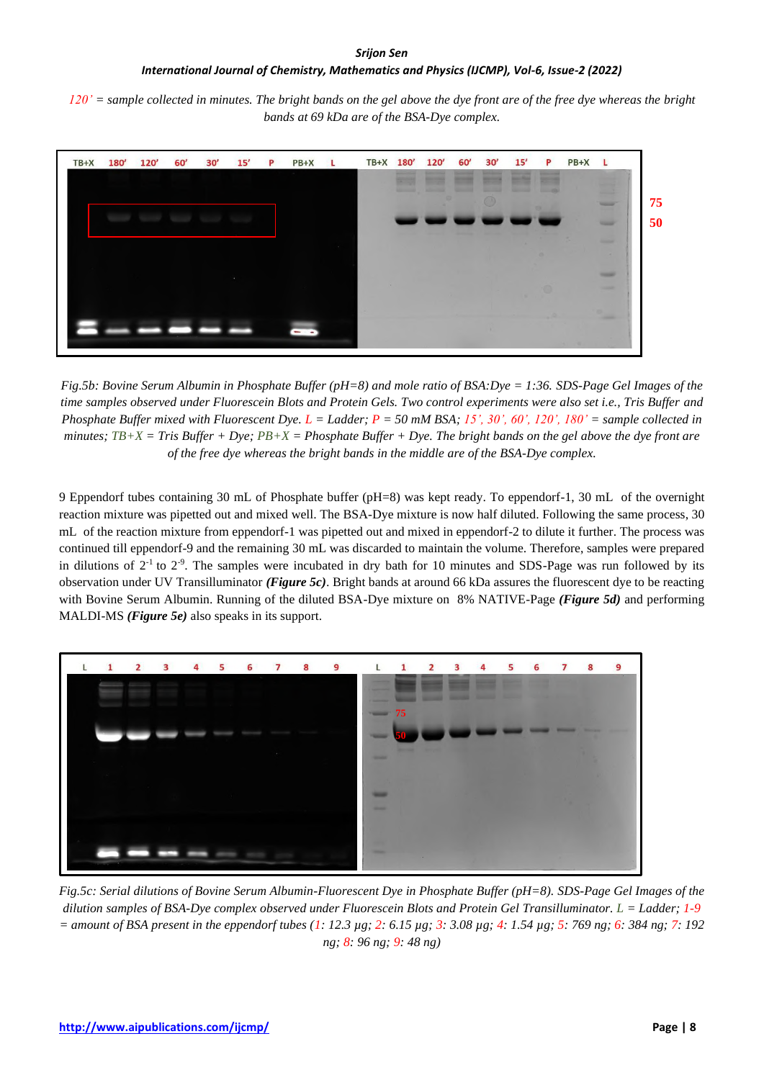*120' = sample collected in minutes. The bright bands on the gel above the dye front are of the free dye whereas the bright bands at 69 kDa are of the BSA-Dye complex.*



*Fig.5b: Bovine Serum Albumin in Phosphate Buffer (pH=8) and mole ratio of BSA:Dye = 1:36. SDS-Page Gel Images of the time samples observed under Fluorescein Blots and Protein Gels. Two control experiments were also set i.e., Tris Buffer and Phosphate Buffer mixed with Fluorescent Dye. L = Ladder; P = 50 mM BSA; 15', 30', 60', 120', 180' = sample collected in minutes; TB+X = Tris Buffer + Dye; PB+X = Phosphate Buffer + Dye. The bright bands on the gel above the dye front are of the free dye whereas the bright bands in the middle are of the BSA-Dye complex.*

9 Eppendorf tubes containing 30 mL of Phosphate buffer (pH=8) was kept ready. To eppendorf-1, 30 mL of the overnight reaction mixture was pipetted out and mixed well. The BSA-Dye mixture is now half diluted. Following the same process, 30 mL of the reaction mixture from eppendorf-1 was pipetted out and mixed in eppendorf-2 to dilute it further. The process was continued till eppendorf-9 and the remaining 30 mL was discarded to maintain the volume. Therefore, samples were prepared in dilutions of  $2^{-1}$  to  $2^{-9}$ . The samples were incubated in dry bath for 10 minutes and SDS-Page was run followed by its observation under UV Transilluminator *(Figure 5c)*. Bright bands at around 66 kDa assures the fluorescent dye to be reacting with Bovine Serum Albumin. Running of the diluted BSA-Dye mixture on 8% NATIVE-Page *(Figure 5d)* and performing MALDI-MS *(Figure 5e)* also speaks in its support.



*Fig.5c: Serial dilutions of Bovine Serum Albumin-Fluorescent Dye in Phosphate Buffer (pH=8). SDS-Page Gel Images of the dilution samples of BSA-Dye complex observed under Fluorescein Blots and Protein Gel Transilluminator. L = Ladder; 1-9 = amount of BSA present in the eppendorf tubes (1: 12.3 µg; 2: 6.15 µg; 3: 3.08 µg; 4: 1.54 µg; 5: 769 ng; 6: 384 ng; 7: 192 ng; 8: 96 ng; 9: 48 ng)*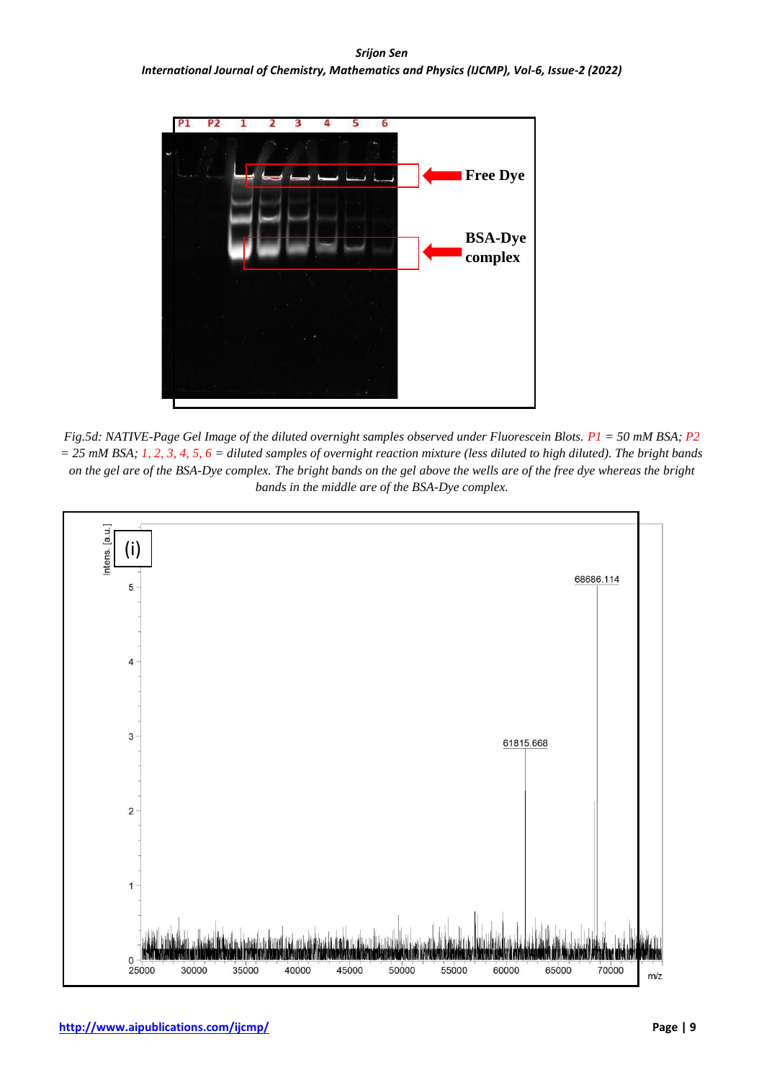

*Fig.5d: NATIVE-Page Gel Image of the diluted overnight samples observed under Fluorescein Blots. P1 = 50 mM BSA; P2 = 25 mM BSA; 1, 2, 3, 4, 5, 6 = diluted samples of overnight reaction mixture (less diluted to high diluted). The bright bands on the gel are of the BSA-Dye complex. The bright bands on the gel above the wells are of the free dye whereas the bright bands in the middle are of the BSA-Dye complex.*

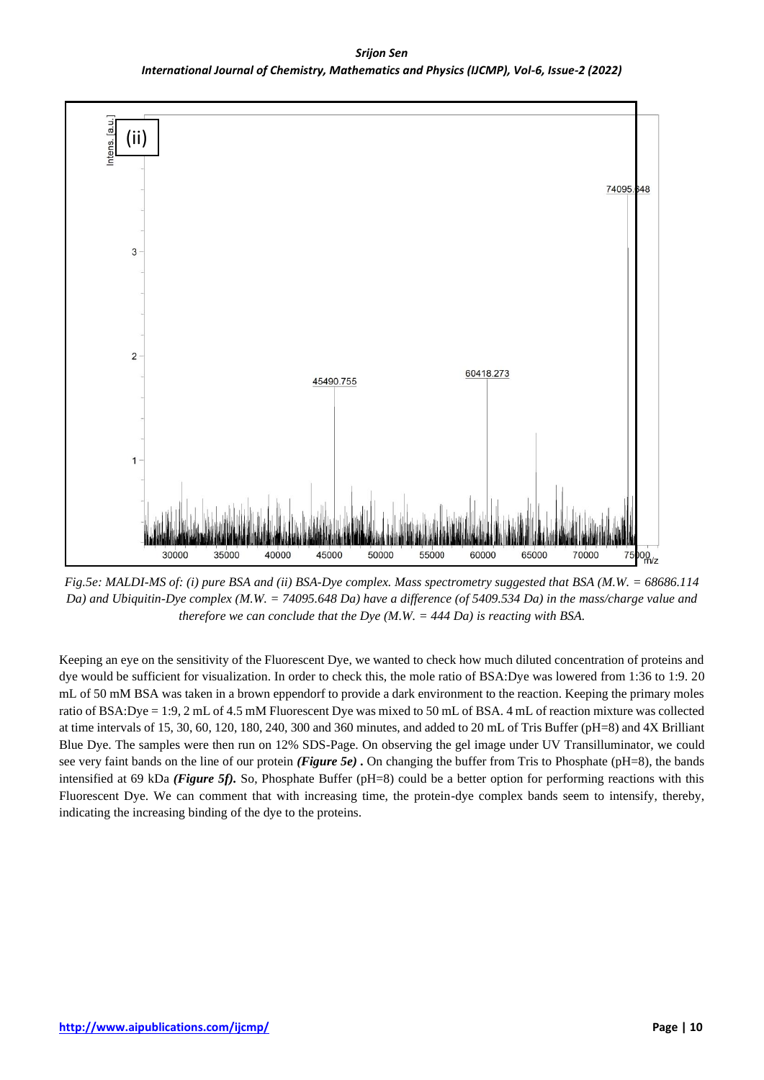*Srijon Sen International Journal of Chemistry, Mathematics and Physics (IJCMP), Vol-6, Issue-2 (2022)*



*Fig.5e: MALDI-MS of: (i) pure BSA and (ii) BSA-Dye complex. Mass spectrometry suggested that BSA (M.W. = 68686.114 Da) and Ubiquitin-Dye complex (M.W. = 74095.648 Da) have a difference (of 5409.534 Da) in the mass/charge value and therefore we can conclude that the Dye (M.W. = 444 Da) is reacting with BSA.*

Keeping an eye on the sensitivity of the Fluorescent Dye, we wanted to check how much diluted concentration of proteins and dye would be sufficient for visualization. In order to check this, the mole ratio of BSA:Dye was lowered from 1:36 to 1:9. 20 mL of 50 mM BSA was taken in a brown eppendorf to provide a dark environment to the reaction. Keeping the primary moles ratio of BSA:Dye = 1:9, 2 mL of 4.5 mM Fluorescent Dye was mixed to 50 mL of BSA. 4 mL of reaction mixture was collected at time intervals of 15, 30, 60, 120, 180, 240, 300 and 360 minutes, and added to 20 mL of Tris Buffer (pH=8) and 4X Brilliant Blue Dye. The samples were then run on 12% SDS-Page. On observing the gel image under UV Transilluminator, we could see very faint bands on the line of our protein *(Figure 5e) .* On changing the buffer from Tris to Phosphate (pH=8), the bands intensified at 69 kDa *(Figure 5f)*. So, Phosphate Buffer (pH=8) could be a better option for performing reactions with this Fluorescent Dye. We can comment that with increasing time, the protein-dye complex bands seem to intensify, thereby, indicating the increasing binding of the dye to the proteins.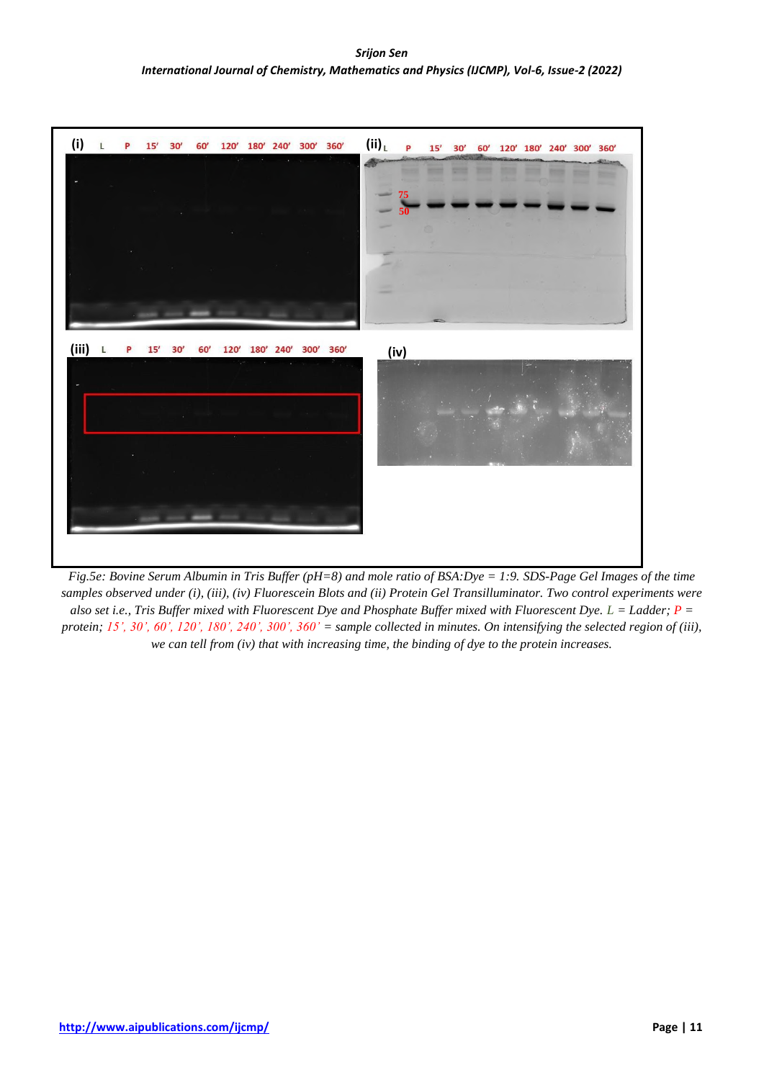*Srijon Sen International Journal of Chemistry, Mathematics and Physics (IJCMP), Vol-6, Issue-2 (2022)*



*Fig.5e: Bovine Serum Albumin in Tris Buffer (pH=8) and mole ratio of BSA:Dye = 1:9. SDS-Page Gel Images of the time samples observed under (i), (iii), (iv) Fluorescein Blots and (ii) Protein Gel Transilluminator. Two control experiments were also set i.e., Tris Buffer mixed with Fluorescent Dye and Phosphate Buffer mixed with Fluorescent Dye. L = Ladder; P = protein; 15', 30', 60', 120', 180', 240', 300', 360' = sample collected in minutes. On intensifying the selected region of (iii), we can tell from (iv) that with increasing time, the binding of dye to the protein increases.*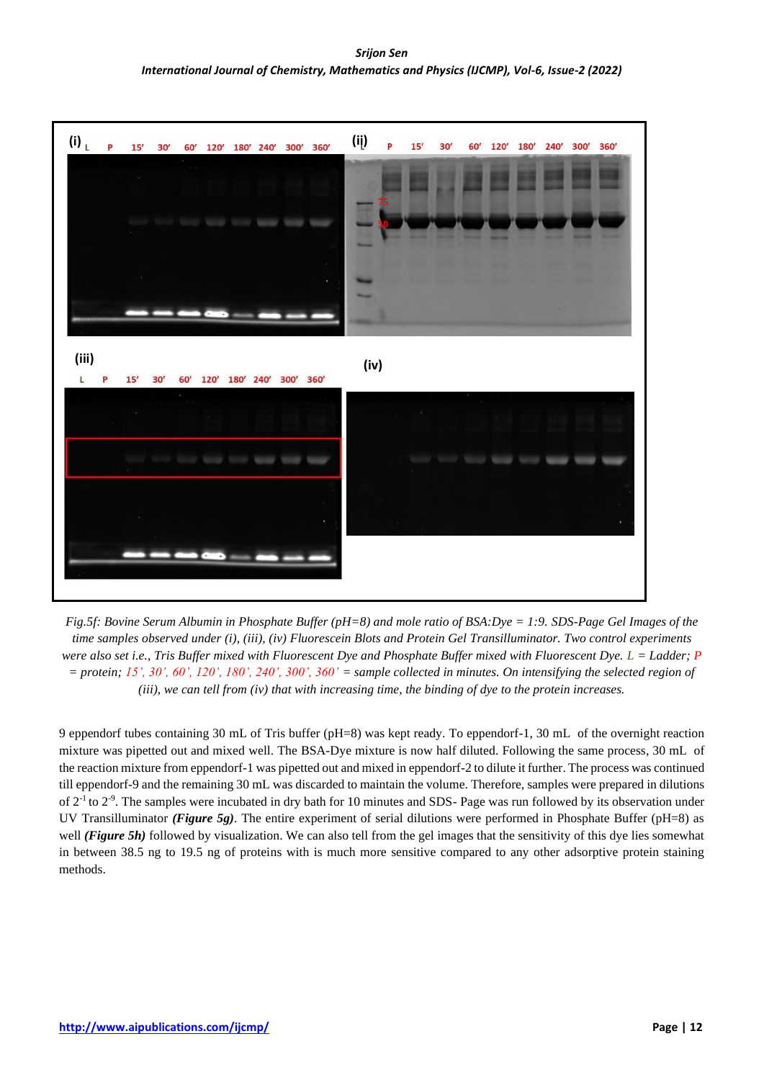*Srijon Sen International Journal of Chemistry, Mathematics and Physics (IJCMP), Vol-6, Issue-2 (2022)*



*Fig.5f: Bovine Serum Albumin in Phosphate Buffer (pH=8) and mole ratio of BSA:Dye = 1:9. SDS-Page Gel Images of the time samples observed under (i), (iii), (iv) Fluorescein Blots and Protein Gel Transilluminator. Two control experiments were also set i.e., Tris Buffer mixed with Fluorescent Dye and Phosphate Buffer mixed with Fluorescent Dye. L = Ladder; P = protein; 15', 30', 60', 120', 180', 240', 300', 360' = sample collected in minutes. On intensifying the selected region of (iii), we can tell from (iv) that with increasing time, the binding of dye to the protein increases.*

9 eppendorf tubes containing 30 mL of Tris buffer (pH=8) was kept ready. To eppendorf-1, 30 mL of the overnight reaction mixture was pipetted out and mixed well. The BSA-Dye mixture is now half diluted. Following the same process, 30 mL of the reaction mixture from eppendorf-1 was pipetted out and mixed in eppendorf-2 to dilute it further. The process was continued till eppendorf-9 and the remaining 30 mL was discarded to maintain the volume. Therefore, samples were prepared in dilutions of  $2^{-1}$  to  $2^{-9}$ . The samples were incubated in dry bath for 10 minutes and SDS- Page was run followed by its observation under UV Transilluminator *(Figure 5g)*. The entire experiment of serial dilutions were performed in Phosphate Buffer (pH=8) as well *(Figure 5h)* followed by visualization. We can also tell from the gel images that the sensitivity of this dye lies somewhat in between 38.5 ng to 19.5 ng of proteins with is much more sensitive compared to any other adsorptive protein staining methods.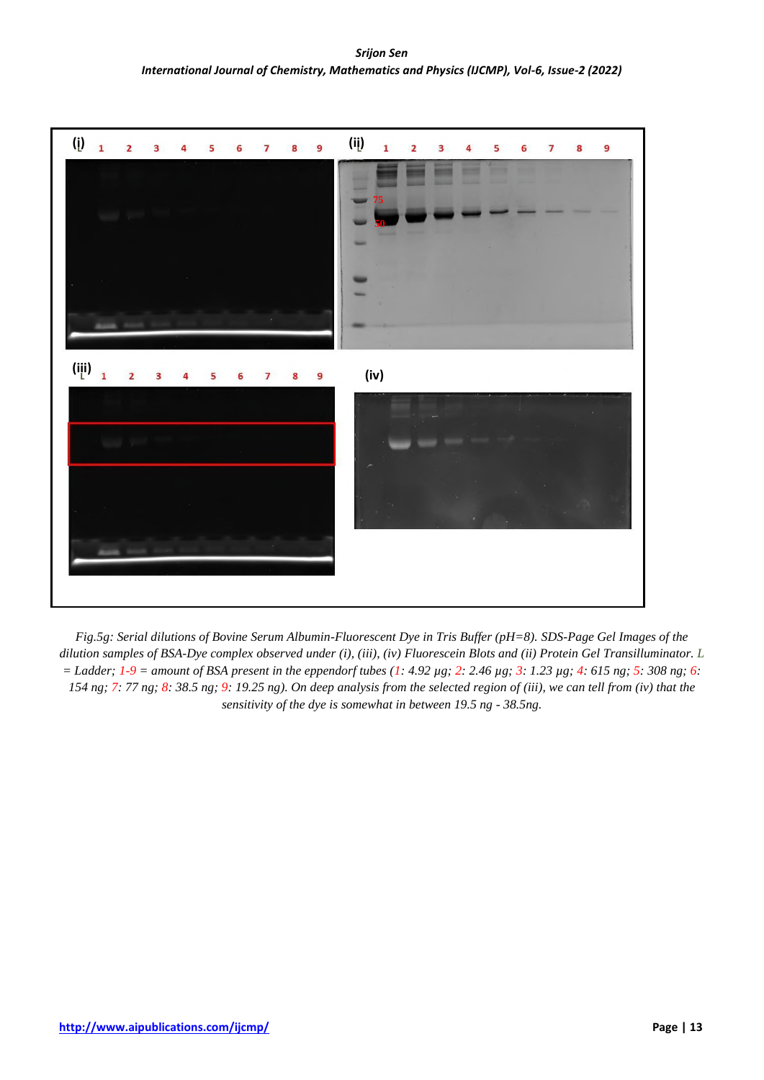*Srijon Sen International Journal of Chemistry, Mathematics and Physics (IJCMP), Vol-6, Issue-2 (2022)*



*Fig.5g: Serial dilutions of Bovine Serum Albumin-Fluorescent Dye in Tris Buffer (pH=8). SDS-Page Gel Images of the dilution samples of BSA-Dye complex observed under (i), (iii), (iv) Fluorescein Blots and (ii) Protein Gel Transilluminator. L = Ladder; 1-9 = amount of BSA present in the eppendorf tubes (1: 4.92 µg; 2: 2.46 µg; 3: 1.23 µg; 4: 615 ng; 5: 308 ng; 6: 154 ng; 7: 77 ng; 8: 38.5 ng; 9: 19.25 ng). On deep analysis from the selected region of (iii), we can tell from (iv) that the sensitivity of the dye is somewhat in between 19.5 ng - 38.5ng.*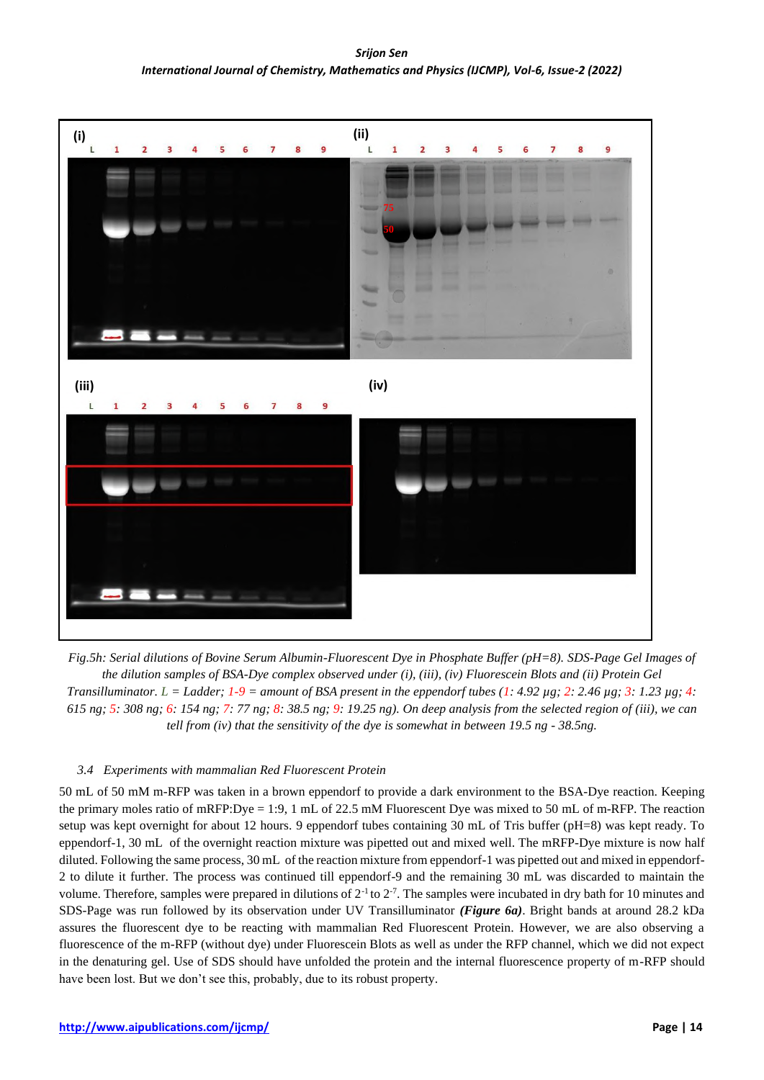*Srijon Sen International Journal of Chemistry, Mathematics and Physics (IJCMP), Vol-6, Issue-2 (2022)*



*Fig.5h: Serial dilutions of Bovine Serum Albumin-Fluorescent Dye in Phosphate Buffer (pH=8). SDS-Page Gel Images of the dilution samples of BSA-Dye complex observed under (i), (iii), (iv) Fluorescein Blots and (ii) Protein Gel Transilluminator. L = Ladder; 1-9 = amount of BSA present in the eppendorf tubes (1: 4.92 µg; 2: 2.46 µg; 3: 1.23 µg; 4: 615 ng; 5: 308 ng; 6: 154 ng; 7: 77 ng; 8: 38.5 ng; 9: 19.25 ng). On deep analysis from the selected region of (iii), we can tell from (iv) that the sensitivity of the dye is somewhat in between 19.5 ng - 38.5ng.*

#### *3.4 Experiments with mammalian Red Fluorescent Protein*

50 mL of 50 mM m-RFP was taken in a brown eppendorf to provide a dark environment to the BSA-Dye reaction. Keeping the primary moles ratio of mRFP:Dye = 1:9, 1 mL of 22.5 mM Fluorescent Dye was mixed to 50 mL of m-RFP. The reaction setup was kept overnight for about 12 hours. 9 eppendorf tubes containing 30 mL of Tris buffer (pH=8) was kept ready. To eppendorf-1, 30 mL of the overnight reaction mixture was pipetted out and mixed well. The mRFP-Dye mixture is now half diluted. Following the same process, 30 mL of the reaction mixture from eppendorf-1 was pipetted out and mixed in eppendorf-2 to dilute it further. The process was continued till eppendorf-9 and the remaining 30 mL was discarded to maintain the volume. Therefore, samples were prepared in dilutions of  $2^{-1}$  to  $2^{-7}$ . The samples were incubated in dry bath for 10 minutes and SDS-Page was run followed by its observation under UV Transilluminator *(Figure 6a)*. Bright bands at around 28.2 kDa assures the fluorescent dye to be reacting with mammalian Red Fluorescent Protein. However, we are also observing a fluorescence of the m-RFP (without dye) under Fluorescein Blots as well as under the RFP channel, which we did not expect in the denaturing gel. Use of SDS should have unfolded the protein and the internal fluorescence property of m-RFP should have been lost. But we don't see this, probably, due to its robust property.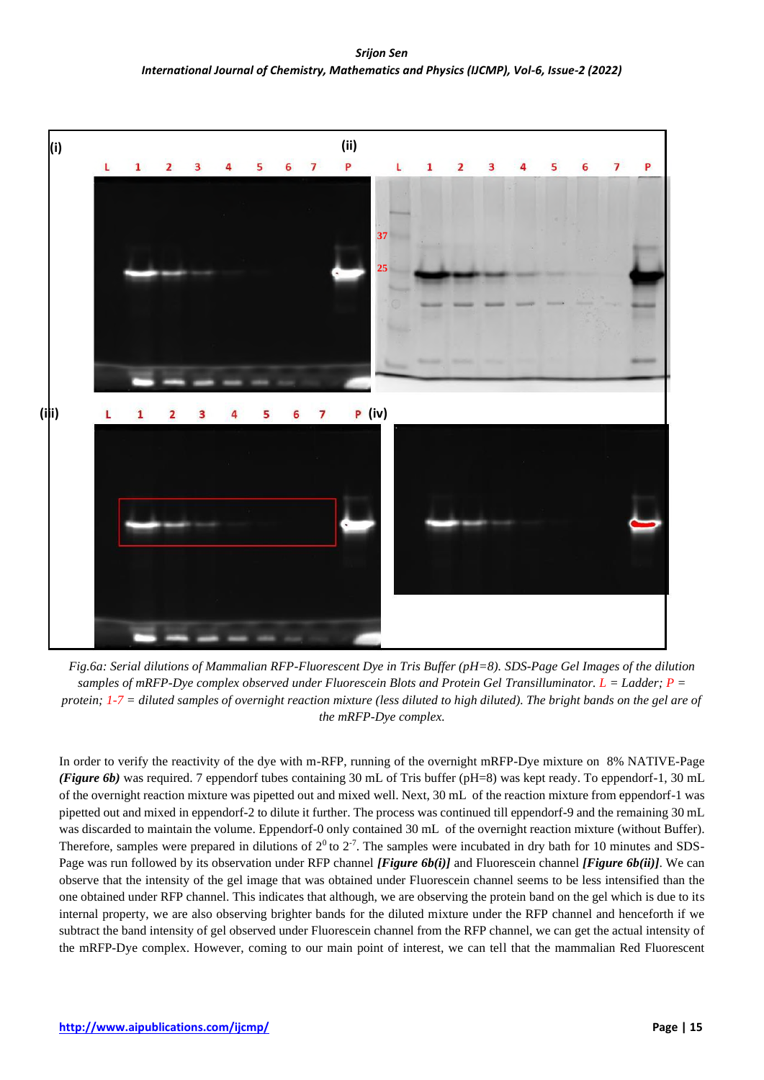*Srijon Sen International Journal of Chemistry, Mathematics and Physics (IJCMP), Vol-6, Issue-2 (2022)*



*Fig.6a: Serial dilutions of Mammalian RFP-Fluorescent Dye in Tris Buffer (pH=8). SDS-Page Gel Images of the dilution samples of mRFP-Dye complex observed under Fluorescein Blots and Protein Gel Transilluminator. L = Ladder; P = protein; 1-7 = diluted samples of overnight reaction mixture (less diluted to high diluted). The bright bands on the gel are of the mRFP-Dye complex.*

In order to verify the reactivity of the dye with m-RFP, running of the overnight mRFP-Dye mixture on 8% NATIVE-Page *(Figure 6b)* was required. 7 eppendorf tubes containing 30 mL of Tris buffer (pH=8) was kept ready. To eppendorf-1, 30 mL of the overnight reaction mixture was pipetted out and mixed well. Next, 30 mL of the reaction mixture from eppendorf-1 was pipetted out and mixed in eppendorf-2 to dilute it further. The process was continued till eppendorf-9 and the remaining 30 mL was discarded to maintain the volume. Eppendorf-0 only contained 30 mL of the overnight reaction mixture (without Buffer). Therefore, samples were prepared in dilutions of  $2^0$  to  $2^7$ . The samples were incubated in dry bath for 10 minutes and SDS-Page was run followed by its observation under RFP channel *[Figure 6b(i)]* and Fluorescein channel *[Figure 6b(ii)]*. We can observe that the intensity of the gel image that was obtained under Fluorescein channel seems to be less intensified than the one obtained under RFP channel. This indicates that although, we are observing the protein band on the gel which is due to its internal property, we are also observing brighter bands for the diluted mixture under the RFP channel and henceforth if we subtract the band intensity of gel observed under Fluorescein channel from the RFP channel, we can get the actual intensity of the mRFP-Dye complex. However, coming to our main point of interest, we can tell that the mammalian Red Fluorescent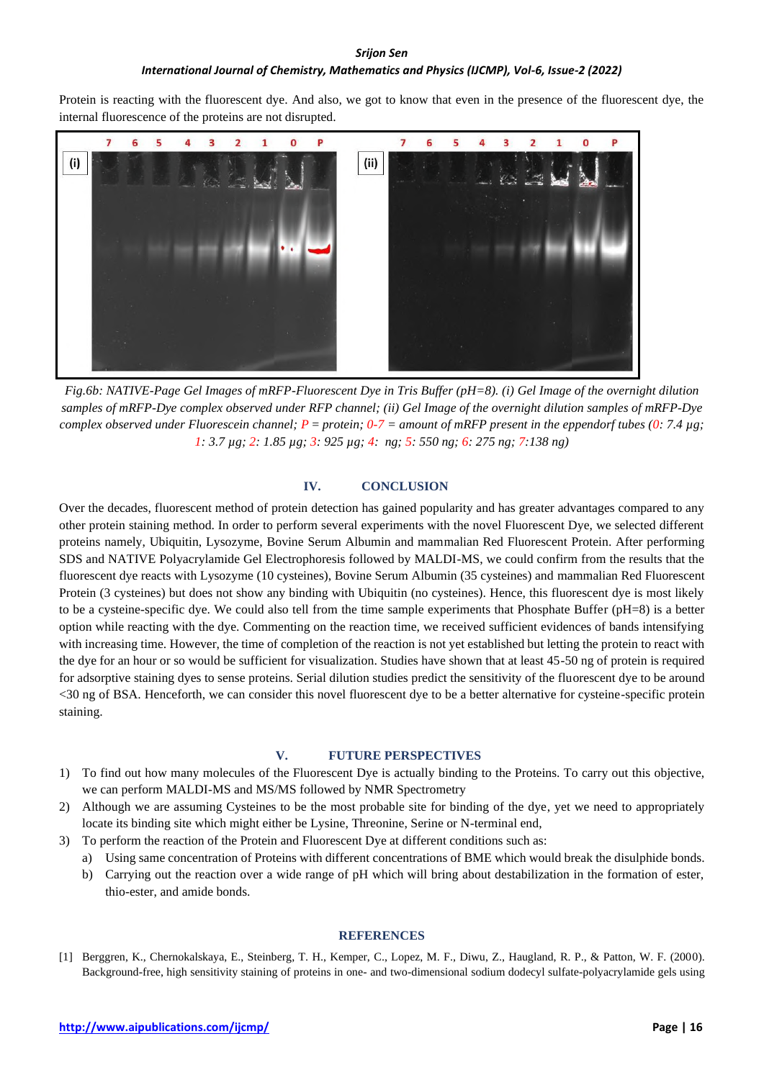Protein is reacting with the fluorescent dye. And also, we got to know that even in the presence of the fluorescent dye, the internal fluorescence of the proteins are not disrupted.



*Fig.6b: NATIVE-Page Gel Images of mRFP-Fluorescent Dye in Tris Buffer (pH=8). (i) Gel Image of the overnight dilution samples of mRFP-Dye complex observed under RFP channel; (ii) Gel Image of the overnight dilution samples of mRFP-Dye complex observed under Fluorescein channel; P = protein; 0-7 = amount of mRFP present in the eppendorf tubes (0: 7.4 µg; \, 1: 3.7 µg; 2: 1.85 µg; 3: 925 µg; 4: ng; 5: 550 ng; 6: 275 ng; 7:138 ng)*

#### **IV. CONCLUSION**

Over the decades, fluorescent method of protein detection has gained popularity and has greater advantages compared to any other protein staining method. In order to perform several experiments with the novel Fluorescent Dye, we selected different proteins namely, Ubiquitin, Lysozyme, Bovine Serum Albumin and mammalian Red Fluorescent Protein. After performing SDS and NATIVE Polyacrylamide Gel Electrophoresis followed by MALDI-MS, we could confirm from the results that the fluorescent dye reacts with Lysozyme (10 cysteines), Bovine Serum Albumin (35 cysteines) and mammalian Red Fluorescent Protein (3 cysteines) but does not show any binding with Ubiquitin (no cysteines). Hence, this fluorescent dye is most likely to be a cysteine-specific dye. We could also tell from the time sample experiments that Phosphate Buffer (pH=8) is a better option while reacting with the dye. Commenting on the reaction time, we received sufficient evidences of bands intensifying with increasing time. However, the time of completion of the reaction is not yet established but letting the protein to react with the dye for an hour or so would be sufficient for visualization. Studies have shown that at least 45-50 ng of protein is required for adsorptive staining dyes to sense proteins. Serial dilution studies predict the sensitivity of the fluorescent dye to be around <30 ng of BSA. Henceforth, we can consider this novel fluorescent dye to be a better alternative for cysteine-specific protein staining.

#### **V. FUTURE PERSPECTIVES**

- 1) To find out how many molecules of the Fluorescent Dye is actually binding to the Proteins. To carry out this objective, we can perform MALDI-MS and MS/MS followed by NMR Spectrometry
- 2) Although we are assuming Cysteines to be the most probable site for binding of the dye, yet we need to appropriately locate its binding site which might either be Lysine, Threonine, Serine or N-terminal end,
- 3) To perform the reaction of the Protein and Fluorescent Dye at different conditions such as:
	- a) Using same concentration of Proteins with different concentrations of BME which would break the disulphide bonds.
	- b) Carrying out the reaction over a wide range of pH which will bring about destabilization in the formation of ester, thio-ester, and amide bonds.

#### **REFERENCES**

[1] Berggren, K., Chernokalskaya, E., Steinberg, T. H., Kemper, C., Lopez, M. F., Diwu, Z., Haugland, R. P., & Patton, W. F. (2000). Background-free, high sensitivity staining of proteins in one- and two-dimensional sodium dodecyl sulfate-polyacrylamide gels using